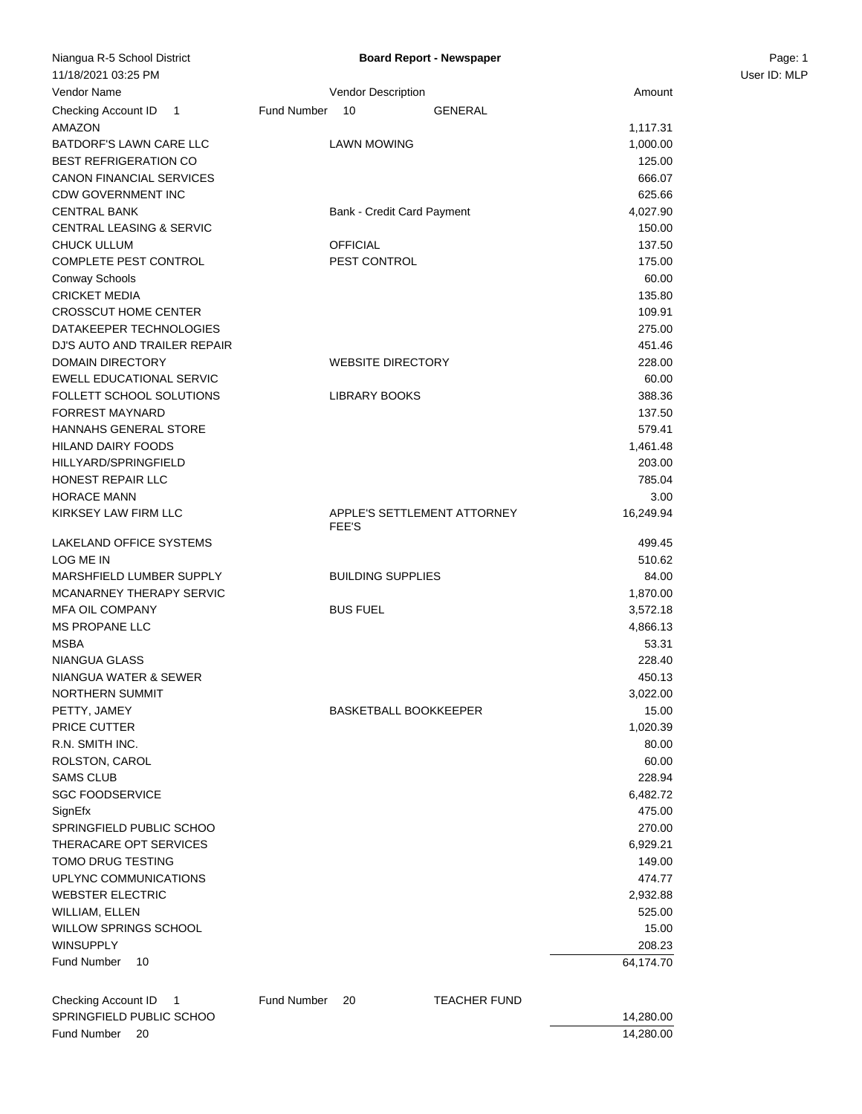| Niangua R-5 School District                                                 |             |                              | <b>Board Report - Newspaper</b> |           | Page: 1      |
|-----------------------------------------------------------------------------|-------------|------------------------------|---------------------------------|-----------|--------------|
| 11/18/2021 03:25 PM                                                         |             |                              |                                 |           | User ID: MLP |
| Vendor Name                                                                 |             | <b>Vendor Description</b>    |                                 | Amount    |              |
| Checking Account ID 1                                                       | Fund Number | 10                           | <b>GENERAL</b>                  |           |              |
| AMAZON                                                                      |             |                              |                                 | 1,117.31  |              |
| BATDORF'S LAWN CARE LLC                                                     |             | <b>LAWN MOWING</b>           |                                 | 1,000.00  |              |
| <b>BEST REFRIGERATION CO</b>                                                |             |                              |                                 | 125.00    |              |
| CANON FINANCIAL SERVICES                                                    |             |                              |                                 | 666.07    |              |
| <b>CDW GOVERNMENT INC</b>                                                   |             |                              |                                 | 625.66    |              |
| <b>CENTRAL BANK</b>                                                         |             | Bank - Credit Card Payment   |                                 | 4,027.90  |              |
| CENTRAL LEASING & SERVIC                                                    |             |                              |                                 | 150.00    |              |
| <b>CHUCK ULLUM</b>                                                          |             | <b>OFFICIAL</b>              |                                 | 137.50    |              |
| COMPLETE PEST CONTROL                                                       |             | PEST CONTROL                 |                                 | 175.00    |              |
| Conway Schools                                                              |             |                              |                                 | 60.00     |              |
| <b>CRICKET MEDIA</b>                                                        |             |                              |                                 | 135.80    |              |
| <b>CROSSCUT HOME CENTER</b>                                                 |             |                              |                                 | 109.91    |              |
| DATAKEEPER TECHNOLOGIES                                                     |             |                              |                                 | 275.00    |              |
| DJ'S AUTO AND TRAILER REPAIR                                                |             |                              |                                 | 451.46    |              |
| <b>DOMAIN DIRECTORY</b>                                                     |             | <b>WEBSITE DIRECTORY</b>     |                                 | 228.00    |              |
| EWELL EDUCATIONAL SERVIC                                                    |             |                              |                                 | 60.00     |              |
| FOLLETT SCHOOL SOLUTIONS                                                    |             | <b>LIBRARY BOOKS</b>         |                                 | 388.36    |              |
| <b>FORREST MAYNARD</b>                                                      |             |                              |                                 | 137.50    |              |
| HANNAHS GENERAL STORE                                                       |             |                              |                                 | 579.41    |              |
| <b>HILAND DAIRY FOODS</b>                                                   |             |                              |                                 | 1,461.48  |              |
| HILLYARD/SPRINGFIELD                                                        |             |                              |                                 | 203.00    |              |
| HONEST REPAIR LLC                                                           |             |                              |                                 | 785.04    |              |
| <b>HORACE MANN</b>                                                          |             |                              |                                 | 3.00      |              |
| KIRKSEY LAW FIRM LLC                                                        |             | FEE'S                        | APPLE'S SETTLEMENT ATTORNEY     | 16,249.94 |              |
| LAKELAND OFFICE SYSTEMS                                                     |             |                              |                                 | 499.45    |              |
| LOG ME IN                                                                   |             |                              |                                 | 510.62    |              |
| MARSHFIELD LUMBER SUPPLY                                                    |             | <b>BUILDING SUPPLIES</b>     |                                 | 84.00     |              |
| MCANARNEY THERAPY SERVIC                                                    |             |                              |                                 | 1,870.00  |              |
| <b>MFA OIL COMPANY</b>                                                      |             | <b>BUS FUEL</b>              |                                 | 3,572.18  |              |
| <b>MS PROPANE LLC</b>                                                       |             |                              |                                 | 4,866.13  |              |
| <b>MSBA</b>                                                                 |             |                              |                                 | 53.31     |              |
| <b>NIANGUA GLASS</b>                                                        |             |                              |                                 | 228.40    |              |
| NIANGUA WATER & SEWER                                                       |             |                              |                                 | 450.13    |              |
| NORTHERN SUMMIT                                                             |             |                              |                                 | 3,022.00  |              |
| PETTY, JAMEY                                                                |             | <b>BASKETBALL BOOKKEEPER</b> |                                 | 15.00     |              |
| PRICE CUTTER                                                                |             |                              |                                 | 1,020.39  |              |
| R.N. SMITH INC.                                                             |             |                              |                                 | 80.00     |              |
| ROLSTON, CAROL                                                              |             |                              |                                 | 60.00     |              |
| <b>SAMS CLUB</b>                                                            |             |                              |                                 | 228.94    |              |
| <b>SGC FOODSERVICE</b>                                                      |             |                              |                                 | 6,482.72  |              |
| SignEfx                                                                     |             |                              |                                 | 475.00    |              |
| SPRINGFIELD PUBLIC SCHOO                                                    |             |                              |                                 | 270.00    |              |
| THERACARE OPT SERVICES                                                      |             |                              |                                 | 6,929.21  |              |
| <b>TOMO DRUG TESTING</b>                                                    |             |                              |                                 | 149.00    |              |
| UPLYNC COMMUNICATIONS                                                       |             |                              |                                 | 474.77    |              |
| <b>WEBSTER ELECTRIC</b>                                                     |             |                              |                                 | 2,932.88  |              |
| WILLIAM, ELLEN                                                              |             |                              |                                 | 525.00    |              |
| WILLOW SPRINGS SCHOOL                                                       |             |                              |                                 | 15.00     |              |
| <b>WINSUPPLY</b>                                                            |             |                              |                                 | 208.23    |              |
| Fund Number<br>10                                                           |             |                              |                                 | 64,174.70 |              |
|                                                                             |             |                              |                                 |           |              |
| Checking Account ID<br>$\overline{\phantom{1}}$<br>SPRINGFIELD PUBLIC SCHOO | Fund Number | 20                           | <b>TEACHER FUND</b>             |           |              |
|                                                                             |             |                              |                                 | 14,280.00 |              |

Fund Number 20 14,280.00